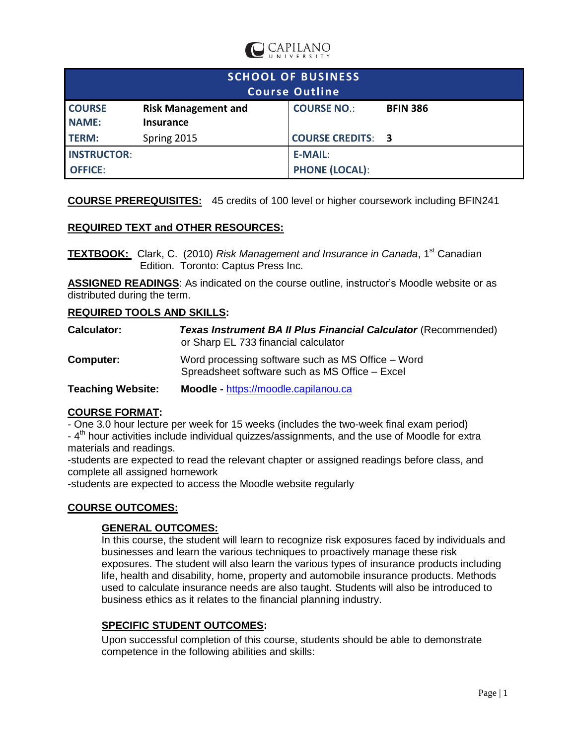

| <b>SCHOOL OF BUSINESS</b><br><b>Course Outline</b> |                                         |                          |                 |  |  |
|----------------------------------------------------|-----------------------------------------|--------------------------|-----------------|--|--|
| <b>COURSE</b><br><b>NAME:</b>                      | <b>Risk Management and</b><br>Insurance | <b>COURSE NO.:</b>       | <b>BFIN 386</b> |  |  |
| <b>TERM:</b>                                       | Spring 2015                             | <b>COURSE CREDITS: 3</b> |                 |  |  |
| <b>INSTRUCTOR:</b>                                 |                                         | E-MAIL:                  |                 |  |  |
| <b>OFFICE:</b>                                     |                                         | <b>PHONE (LOCAL):</b>    |                 |  |  |

**COURSE PREREQUISITES:** 45 credits of 100 level or higher coursework including BFIN241

## **REQUIRED TEXT and OTHER RESOURCES:**

**TEXTBOOK:** Clark, C. (2010) *Risk Management and Insurance in Canada*, 1 st Canadian Edition. Toronto: Captus Press Inc.

ASSIGNED READINGS: As indicated on the course outline, instructor's Moodle website or as distributed during the term.

#### **REQUIRED TOOLS AND SKILLS:**

| <b>Calculator:</b>       | Texas Instrument BA II Plus Financial Calculator (Recommended)<br>or Sharp EL 733 financial calculator |  |  |  |
|--------------------------|--------------------------------------------------------------------------------------------------------|--|--|--|
| Computer:                | Word processing software such as MS Office – Word<br>Spreadsheet software such as MS Office - Excel    |  |  |  |
| <b>Teaching Website:</b> | Moodle - https://moodle.capilanou.ca                                                                   |  |  |  |

## **COURSE FORMAT:**

- One 3.0 hour lecture per week for 15 weeks (includes the two-week final exam period)

- 4<sup>th</sup> hour activities include individual quizzes/assignments, and the use of Moodle for extra materials and readings.

-students are expected to read the relevant chapter or assigned readings before class, and complete all assigned homework

-students are expected to access the Moodle website regularly

## **COURSE OUTCOMES:**

#### **GENERAL OUTCOMES:**

In this course, the student will learn to recognize risk exposures faced by individuals and businesses and learn the various techniques to proactively manage these risk exposures. The student will also learn the various types of insurance products including life, health and disability, home, property and automobile insurance products. Methods used to calculate insurance needs are also taught. Students will also be introduced to business ethics as it relates to the financial planning industry.

## **SPECIFIC STUDENT OUTCOMES:**

Upon successful completion of this course, students should be able to demonstrate competence in the following abilities and skills: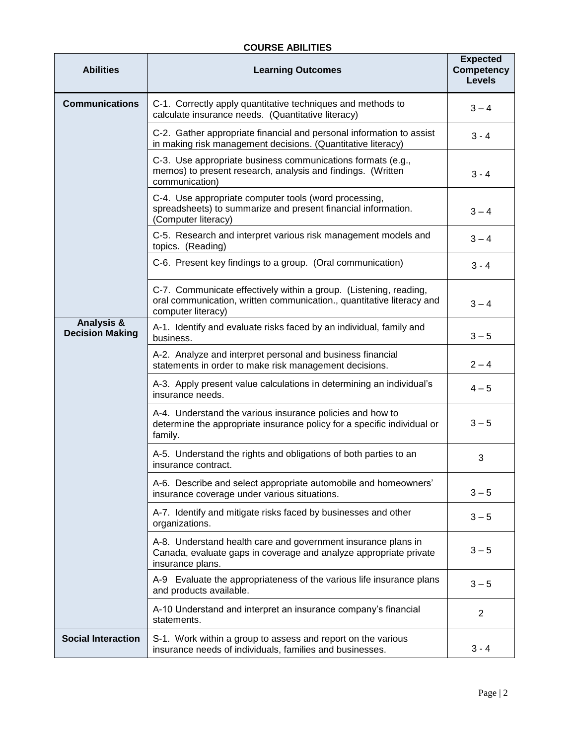## **COURSE ABILITIES**

| <b>Abilities</b>                                | <b>Learning Outcomes</b>                                                                                                                                                                                 | <b>Expected</b><br><b>Competency</b><br><b>Levels</b> |  |  |  |
|-------------------------------------------------|----------------------------------------------------------------------------------------------------------------------------------------------------------------------------------------------------------|-------------------------------------------------------|--|--|--|
| <b>Communications</b>                           | C-1. Correctly apply quantitative techniques and methods to<br>calculate insurance needs. (Quantitative literacy)                                                                                        | $3 - 4$                                               |  |  |  |
|                                                 | C-2. Gather appropriate financial and personal information to assist<br>in making risk management decisions. (Quantitative literacy)                                                                     | $3 - 4$                                               |  |  |  |
|                                                 | C-3. Use appropriate business communications formats (e.g.,<br>memos) to present research, analysis and findings. (Written<br>communication)                                                             | $3 - 4$                                               |  |  |  |
|                                                 | C-4. Use appropriate computer tools (word processing,<br>spreadsheets) to summarize and present financial information.<br>(Computer literacy)                                                            | $3 - 4$                                               |  |  |  |
|                                                 | C-5. Research and interpret various risk management models and<br>topics. (Reading)                                                                                                                      | $3 - 4$                                               |  |  |  |
|                                                 | C-6. Present key findings to a group. (Oral communication)                                                                                                                                               | $3 - 4$                                               |  |  |  |
|                                                 | C-7. Communicate effectively within a group. (Listening, reading,<br>oral communication, written communication., quantitative literacy and<br>computer literacy)                                         | $3 - 4$                                               |  |  |  |
| <b>Analysis &amp;</b><br><b>Decision Making</b> | A-1. Identify and evaluate risks faced by an individual, family and<br>business.<br>A-2. Analyze and interpret personal and business financial<br>statements in order to make risk management decisions. |                                                       |  |  |  |
|                                                 |                                                                                                                                                                                                          |                                                       |  |  |  |
|                                                 | A-3. Apply present value calculations in determining an individual's<br>insurance needs.                                                                                                                 | $4 - 5$                                               |  |  |  |
|                                                 | A-4. Understand the various insurance policies and how to<br>determine the appropriate insurance policy for a specific individual or<br>family.                                                          | $3 - 5$                                               |  |  |  |
|                                                 | A-5. Understand the rights and obligations of both parties to an<br>insurance contract.                                                                                                                  | 3                                                     |  |  |  |
|                                                 | A-6. Describe and select appropriate automobile and homeowners'<br>insurance coverage under various situations.<br>A-7. Identify and mitigate risks faced by businesses and other<br>organizations.      |                                                       |  |  |  |
|                                                 |                                                                                                                                                                                                          |                                                       |  |  |  |
|                                                 | A-8. Understand health care and government insurance plans in<br>Canada, evaluate gaps in coverage and analyze appropriate private<br>insurance plans.                                                   | $3 - 5$                                               |  |  |  |
|                                                 | A-9 Evaluate the appropriateness of the various life insurance plans<br>and products available.                                                                                                          | $3 - 5$                                               |  |  |  |
|                                                 | A-10 Understand and interpret an insurance company's financial<br>statements.                                                                                                                            |                                                       |  |  |  |
| <b>Social Interaction</b>                       | S-1. Work within a group to assess and report on the various<br>insurance needs of individuals, families and businesses.                                                                                 | $3 - 4$                                               |  |  |  |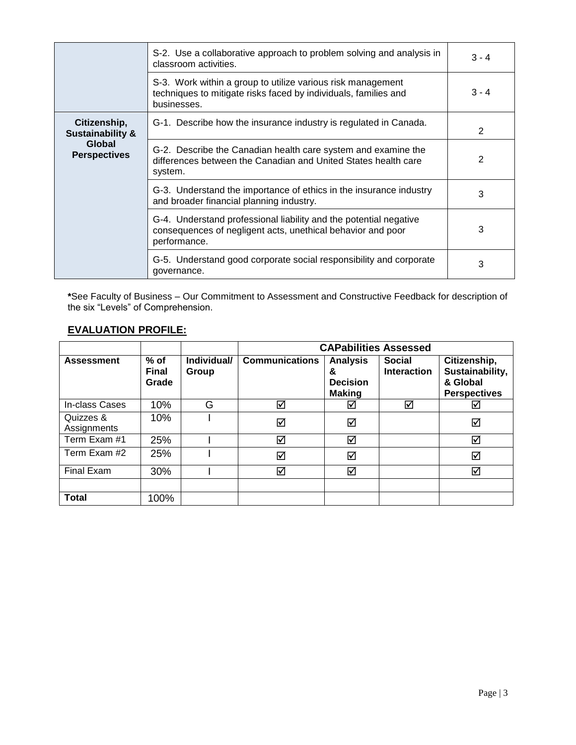|                                             | S-2. Use a collaborative approach to problem solving and analysis in<br>classroom activities.                                                    | $3 - 4$ |
|---------------------------------------------|--------------------------------------------------------------------------------------------------------------------------------------------------|---------|
|                                             | S-3. Work within a group to utilize various risk management<br>techniques to mitigate risks faced by individuals, families and<br>businesses.    | $3 - 4$ |
| Citizenship,<br><b>Sustainability &amp;</b> | G-1. Describe how the insurance industry is regulated in Canada.                                                                                 | 2       |
| Global<br><b>Perspectives</b>               | G-2. Describe the Canadian health care system and examine the<br>differences between the Canadian and United States health care<br>system.       | 2       |
|                                             | G-3. Understand the importance of ethics in the insurance industry<br>and broader financial planning industry.                                   | 3       |
|                                             | G-4. Understand professional liability and the potential negative<br>consequences of negligent acts, unethical behavior and poor<br>performance. | 3       |
|                                             | G-5. Understand good corporate social responsibility and corporate<br>governance.                                                                | 3       |

**\***See Faculty of Business – Our Commitment to Assessment and Constructive Feedback for description of the six "Levels" of Comprehension.

# **EVALUATION PROFILE:**

|                          |                                 |                      | <b>CAPabilities Assessed</b> |                                                          |                                     |                                                                    |  |
|--------------------------|---------------------------------|----------------------|------------------------------|----------------------------------------------------------|-------------------------------------|--------------------------------------------------------------------|--|
| <b>Assessment</b>        | $%$ of<br><b>Final</b><br>Grade | Individual/<br>Group | <b>Communications</b>        | <b>Analysis</b><br>&<br><b>Decision</b><br><b>Making</b> | <b>Social</b><br><b>Interaction</b> | Citizenship,<br>Sustainability,<br>& Global<br><b>Perspectives</b> |  |
| In-class Cases           | 10%                             | G                    | ☑                            | ☑                                                        | ☑                                   | ☑                                                                  |  |
| Quizzes &<br>Assignments | 10%                             |                      | ☑                            | ☑                                                        |                                     | ☑                                                                  |  |
| Term Exam #1             | 25%                             |                      | ☑                            | ☑                                                        |                                     | ☑                                                                  |  |
| Term Exam #2             | 25%                             |                      | ☑                            | ☑                                                        |                                     | $\blacktriangledown$                                               |  |
| Final Exam               | 30%                             |                      | ☑                            | ☑                                                        |                                     | ☑                                                                  |  |
|                          |                                 |                      |                              |                                                          |                                     |                                                                    |  |
| <b>Total</b>             | 100%                            |                      |                              |                                                          |                                     |                                                                    |  |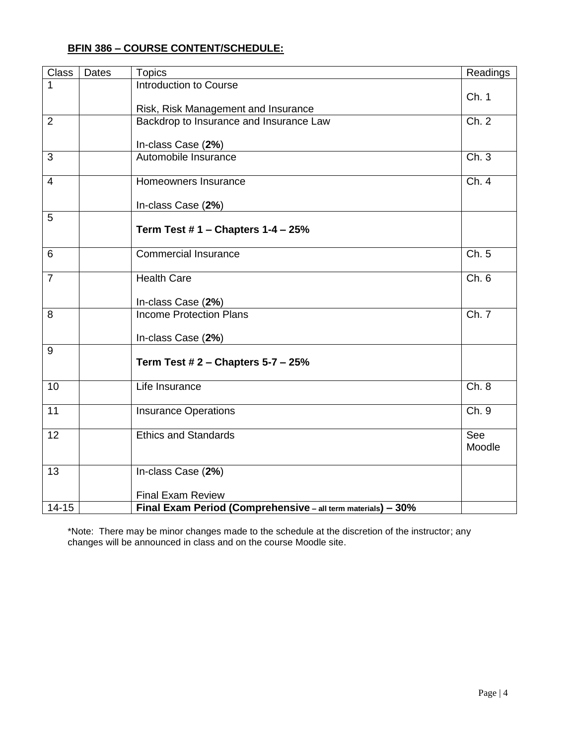| <b>Class</b>    | Dates | <b>Topics</b>                                                | Readings |
|-----------------|-------|--------------------------------------------------------------|----------|
|                 |       | <b>Introduction to Course</b>                                |          |
|                 |       |                                                              | Ch. 1    |
|                 |       | Risk, Risk Management and Insurance                          |          |
| 2               |       | Backdrop to Insurance and Insurance Law                      | Ch. 2    |
|                 |       | In-class Case (2%)                                           |          |
| 3               |       | Automobile Insurance                                         | Ch. 3    |
|                 |       |                                                              |          |
| $\overline{4}$  |       | Homeowners Insurance                                         | Ch.4     |
|                 |       |                                                              |          |
|                 |       | In-class Case (2%)                                           |          |
| 5               |       |                                                              |          |
|                 |       | Term Test $# 1$ – Chapters $1 - 4 - 25%$                     |          |
| 6               |       | <b>Commercial Insurance</b>                                  | Ch. 5    |
|                 |       |                                                              |          |
| $\overline{7}$  |       | <b>Health Care</b>                                           | Ch. 6    |
|                 |       |                                                              |          |
|                 |       | In-class Case (2%)                                           |          |
| 8               |       | <b>Income Protection Plans</b>                               | Ch. 7    |
|                 |       | In-class Case (2%)                                           |          |
| 9               |       |                                                              |          |
|                 |       | Term Test $# 2$ – Chapters 5-7 – 25%                         |          |
|                 |       |                                                              |          |
| 10              |       | Life Insurance                                               | Ch. 8    |
|                 |       |                                                              |          |
| $\overline{11}$ |       | <b>Insurance Operations</b>                                  | Ch.9     |
|                 |       |                                                              | See      |
| 12              |       | <b>Ethics and Standards</b>                                  | Moodle   |
|                 |       |                                                              |          |
| 13              |       | In-class Case (2%)                                           |          |
|                 |       |                                                              |          |
|                 |       | <b>Final Exam Review</b>                                     |          |
| $14 - 15$       |       | Final Exam Period (Comprehensive - all term materials) - 30% |          |

\*Note: There may be minor changes made to the schedule at the discretion of the instructor; any changes will be announced in class and on the course Moodle site.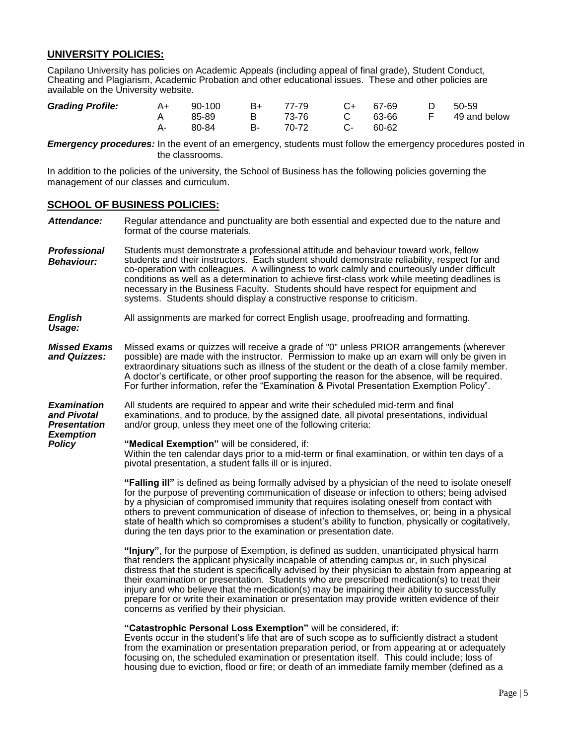#### **UNIVERSITY POLICIES:**

Capilano University has policies on Academic Appeals (including appeal of final grade), Student Conduct, Cheating and Plagiarism, Academic Probation and other educational issues. These and other policies are available on the University website.

| <b>Grading Profile:</b> | A+ | 90-100 |        | B+ 77-79 C+ 67-69 |            |       | D 50-59                        |
|-------------------------|----|--------|--------|-------------------|------------|-------|--------------------------------|
|                         |    | 85-89  |        |                   |            |       | B 73-76 C 63-66 F 49 and below |
|                         | А- | 80-84  | - B- - | 70-72             | $C \ldots$ | 60-62 |                                |

*Emergency procedures:* In the event of an emergency, students must follow the emergency procedures posted in the classrooms.

In addition to the policies of the university, the School of Business has the following policies governing the management of our classes and curriculum.

#### **SCHOOL OF BUSINESS POLICIES:**

- Attendance: Regular attendance and punctuality are both essential and expected due to the nature and format of the course materials.
- *Professional Behaviour:* Students must demonstrate a professional attitude and behaviour toward work, fellow students and their instructors. Each student should demonstrate reliability, respect for and co-operation with colleagues. A willingness to work calmly and courteously under difficult conditions as well as a determination to achieve first-class work while meeting deadlines is necessary in the Business Faculty. Students should have respect for equipment and systems. Students should display a constructive response to criticism.

*English Usage:* All assignments are marked for correct English usage, proofreading and formatting.

*Missed Exams and Quizzes:* Missed exams or quizzes will receive a grade of "0" unless PRIOR arrangements (wherever possible) are made with the instructor. Permission to make up an exam will only be given in extraordinary situations such as illness of the student or the death of a close family member. A doctor's certificate, or other proof supporting the reason for the absence, will be required. For further information, refer the "Examination & Pivotal Presentation Exemption Policy".

*Examination and Pivotal Presentation Exemption Policy* All students are required to appear and write their scheduled mid-term and final examinations, and to produce, by the assigned date, all pivotal presentations, individual and/or group, unless they meet one of the following criteria:

**"Medical Exemption"** will be considered, if: Within the ten calendar days prior to a mid-term or final examination, or within ten days of a pivotal presentation, a student falls ill or is injured.

**"Falling ill"** is defined as being formally advised by a physician of the need to isolate oneself for the purpose of preventing communication of disease or infection to others; being advised by a physician of compromised immunity that requires isolating oneself from contact with others to prevent communication of disease of infection to themselves, or; being in a physical state of health which so compromises a student's ability to function, physically or cogitatively, during the ten days prior to the examination or presentation date.

**"Injury"**, for the purpose of Exemption, is defined as sudden, unanticipated physical harm that renders the applicant physically incapable of attending campus or, in such physical distress that the student is specifically advised by their physician to abstain from appearing at their examination or presentation. Students who are prescribed medication(s) to treat their injury and who believe that the medication(s) may be impairing their ability to successfully prepare for or write their examination or presentation may provide written evidence of their concerns as verified by their physician.

#### **"Catastrophic Personal Loss Exemption"** will be considered, if:

Events occur in the student's life that are of such scope as to sufficiently distract a student from the examination or presentation preparation period, or from appearing at or adequately focusing on, the scheduled examination or presentation itself. This could include; loss of housing due to eviction, flood or fire; or death of an immediate family member (defined as a